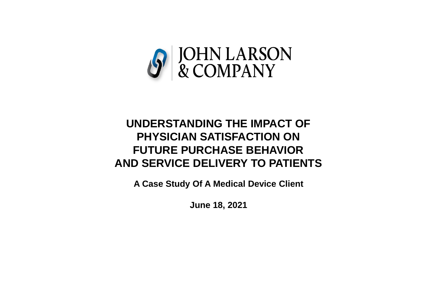

## **UNDERSTANDING THE IMPACT OF PHYSICIAN SATISFACTION ON FUTURE PURCHASE BEHAVIOR AND SERVICE DELIVERY TO PATIENTS**

**A Case Study Of A Medical Device Client**

**June 18, 2021**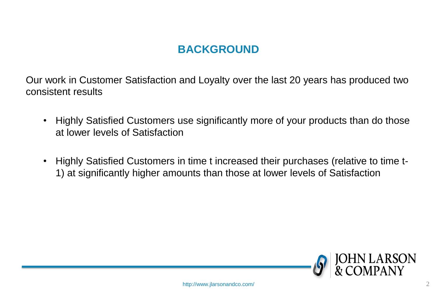## **BACKGROUND**

Our work in Customer Satisfaction and Loyalty over the last 20 years has produced two consistent results

- Highly Satisfied Customers use significantly more of your products than do those at lower levels of Satisfaction
- Highly Satisfied Customers in time t increased their purchases (relative to time t-1) at significantly higher amounts than those at lower levels of Satisfaction

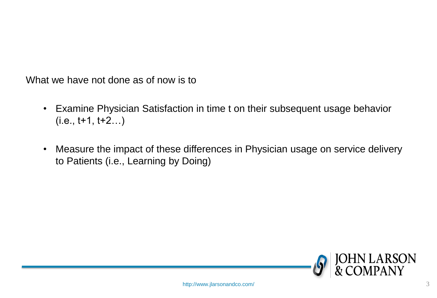What we have not done as of now is to

- Examine Physician Satisfaction in time t on their subsequent usage behavior  $(i.e., t+1, t+2...)$
- Measure the impact of these differences in Physician usage on service delivery to Patients (i.e., Learning by Doing)

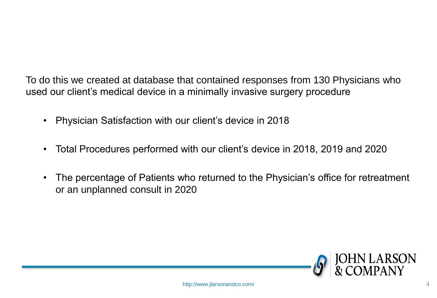To do this we created at database that contained responses from 130 Physicians who used our client's medical device in a minimally invasive surgery procedure

- Physician Satisfaction with our client's device in 2018
- Total Procedures performed with our client's device in 2018, 2019 and 2020
- The percentage of Patients who returned to the Physician's office for retreatment or an unplanned consult in 2020

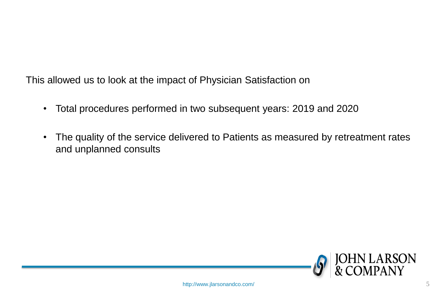This allowed us to look at the impact of Physician Satisfaction on

- Total procedures performed in two subsequent years: 2019 and 2020
- The quality of the service delivered to Patients as measured by retreatment rates and unplanned consults

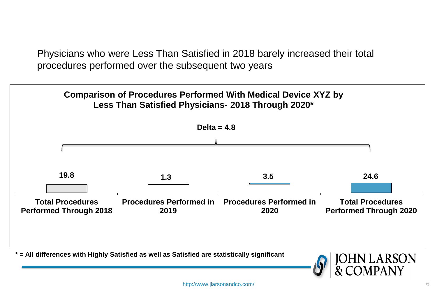Physicians who were Less Than Satisfied in 2018 barely increased their total procedures performed over the subsequent two years



http://www.jlarsonandco.com/ 6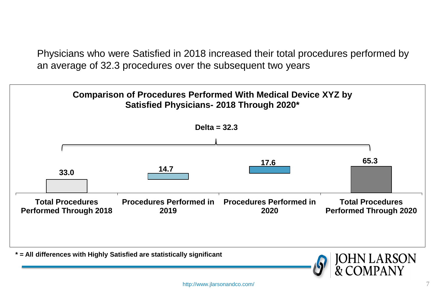Physicians who were Satisfied in 2018 increased their total procedures performed by an average of 32.3 procedures over the subsequent two years

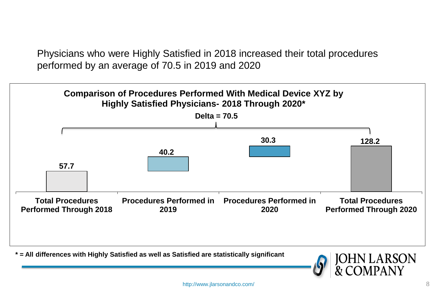Physicians who were Highly Satisfied in 2018 increased their total procedures performed by an average of 70.5 in 2019 and 2020



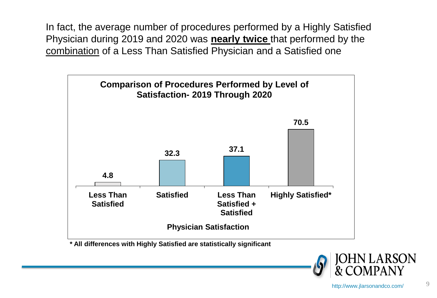In fact, the average number of procedures performed by a Highly Satisfied Physician during 2019 and 2020 was **nearly twice** that performed by the combination of a Less Than Satisfied Physician and a Satisfied one



**\* All differences with Highly Satisfied are statistically significant**

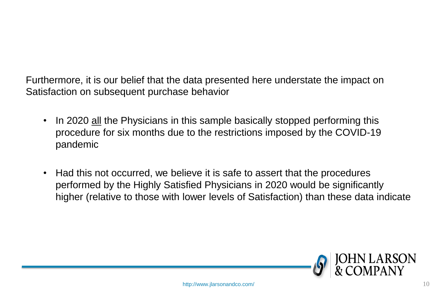Furthermore, it is our belief that the data presented here understate the impact on Satisfaction on subsequent purchase behavior

- In 2020 all the Physicians in this sample basically stopped performing this procedure for six months due to the restrictions imposed by the COVID-19 pandemic
- Had this not occurred, we believe it is safe to assert that the procedures performed by the Highly Satisfied Physicians in 2020 would be significantly higher (relative to those with lower levels of Satisfaction) than these data indicate

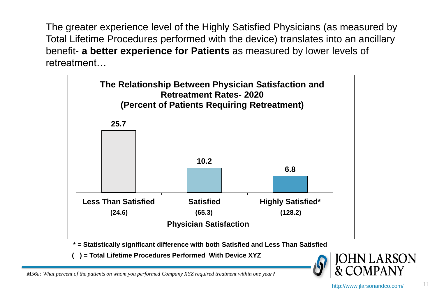The greater experience level of the Highly Satisfied Physicians (as measured by Total Lifetime Procedures performed with the device) translates into an ancillary benefit- **a better experience for Patients** as measured by lower levels of retreatment…



**\* = Statistically significant difference with both Satisfied and Less Than Satisfied**

**( ) = Total Lifetime Procedures Performed With Device XYZ**



*M56a: What percent of the patients on whom you performed Company XYZ required treatment within one year?*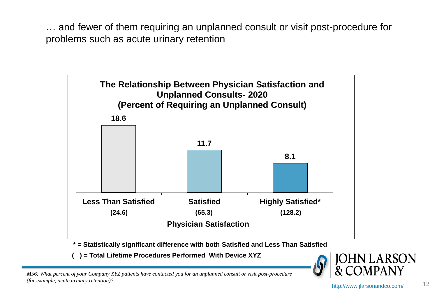… and fewer of them requiring an unplanned consult or visit post-procedure for problems such as acute urinary retention



**\* = Statistically significant difference with both Satisfied and Less Than Satisfied**

**( ) = Total Lifetime Procedures Performed With Device XYZ**



*M56: What percent of your Company XYZ patients have contacted you for an unplanned consult or visit post-procedure (for example, acute urinary retention)?*